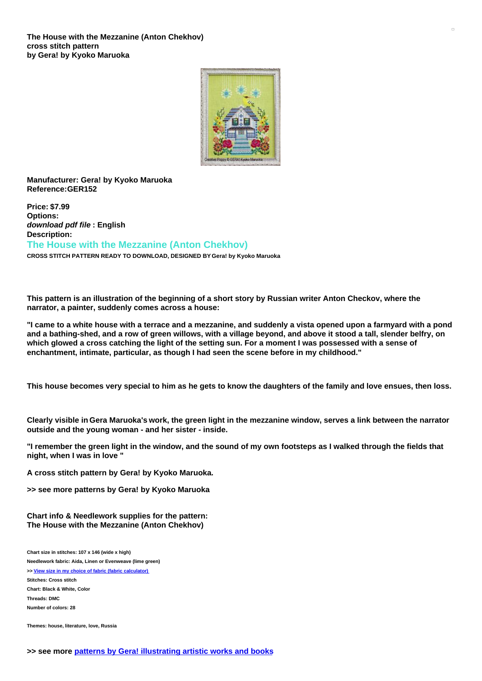

## **Manufacturer: Gera! by Kyoko Maruoka Reference:GER152**

**Price: \$7.99 Options:** *download pdf file* **: English Description: The House with the Mezzanine (Anton Chekhov) CROSS STITCH PATTERN READY TO DOWNLOAD, DESIGNED BY Gera! by Kyoko Maruoka**

This pattern is an illustration of the beginning of a short story by Russian writer Anton Checkov, where the **narrator, a painter, suddenly comes across a house:**

"I came to a white house with a terrace and a mezzanine, and suddenly a vista opened upon a farmyard with a pond and a bathing-shed, and a row of green willows, with a village beyond, and above it stood a tall, slender belfry, on which glowed a cross catching the light of the setting sun. For a moment I was possessed with a sense of **enchantment, intimate, particular, as though I had seen the scene before in my childhood."**

This house becomes very special to him as he gets to know the daughters of the family and love ensues, then loss.

Clearly visible in Gera Maruoka's work, the green light in the mezzanine window, serves a link between the narrator **outside and the young woman - and her sister - inside.**

"I remember the green light in the window, and the sound of my own footsteps as I walked through the fields that **night, when I was in love "**

**A cross stitch pattern by Gera! by Kyoko Maruoka.**

**>> see more patterns by Gera! by Kyoko Maruoka**

**Chart info & Needlework supplies for the pattern: The House with the Mezzanine (Anton Chekhov)**

**Chart size in stitches: 107 x 146 (wide x high) Needlework fabric: Aida, Linen or Evenweave (lime green) >> View size in my choice of fabric (fabric [calculator\)](https://www.creativepoppypatterns.com/calculette-de-toile.php?products_id=3155&w=107&h=146) Stitches: Cross stitch Chart: Black & White, Color Threads: DMC Number of colors: 28**

**Themes: house, literature, love, Russia**